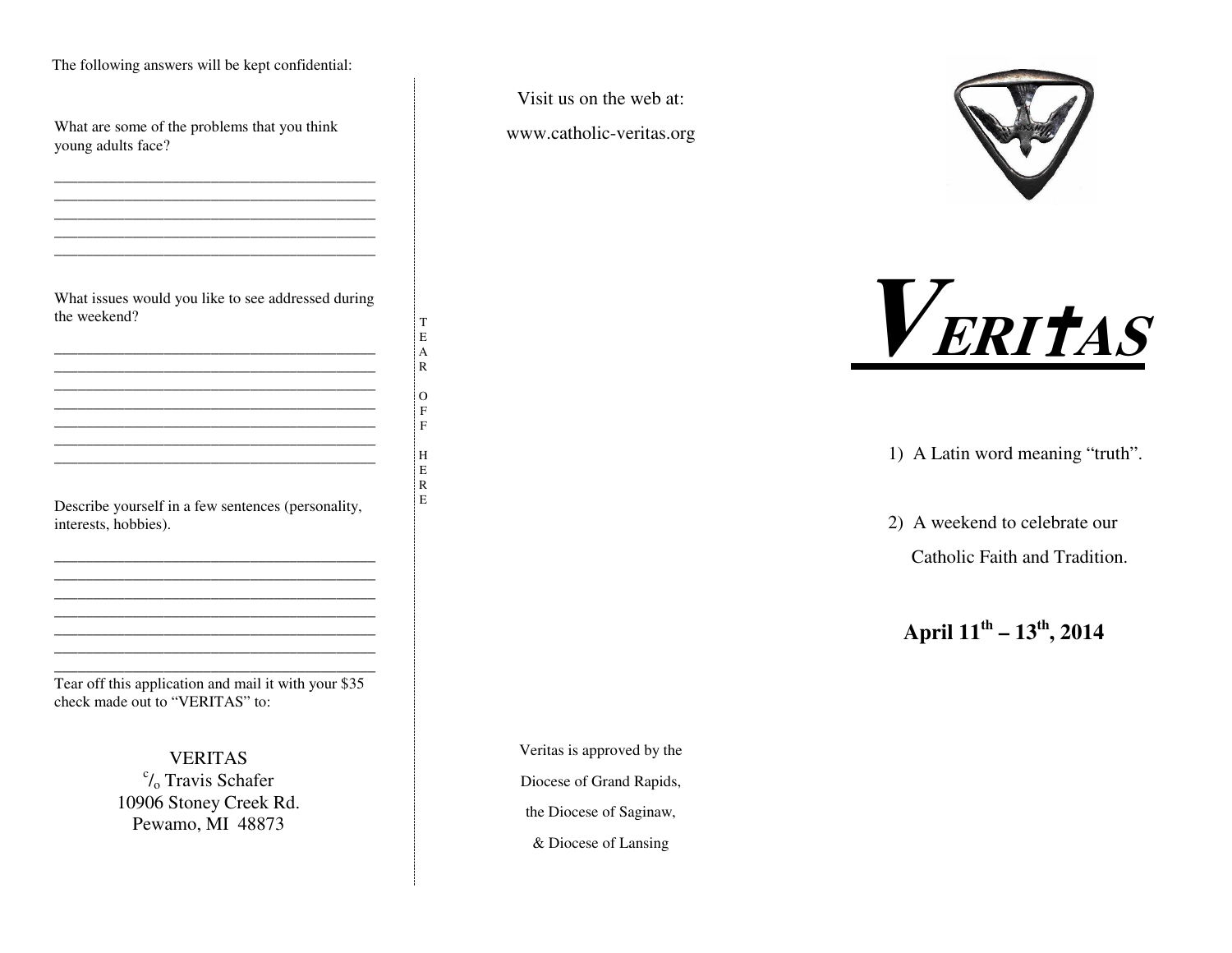The following answers will be kept confidential:

What are some of the problems that you think young adults face?

What issues would you like to see addressed during the weekend?

\_\_\_\_\_\_\_\_\_\_\_\_\_\_\_\_\_\_\_\_\_\_\_\_\_\_\_\_\_\_\_\_\_\_\_\_\_\_\_\_\_ \_\_\_\_\_\_\_\_\_\_\_\_\_\_\_\_\_\_\_\_\_\_\_\_\_\_\_\_\_\_\_\_\_\_\_\_\_\_\_\_\_

\_\_\_\_\_\_\_\_\_\_\_\_\_\_\_\_\_\_\_\_\_\_\_\_\_\_\_\_\_\_\_\_\_\_\_\_\_\_\_\_\_ \_\_\_\_\_\_\_\_\_\_\_\_\_\_\_\_\_\_\_\_\_\_\_\_\_\_\_\_\_\_\_\_\_\_\_\_\_\_\_\_\_ \_\_\_\_\_\_\_\_\_\_\_\_\_\_\_\_\_\_\_\_\_\_\_\_\_\_\_\_\_\_\_\_\_\_\_\_\_\_\_\_\_ \_\_\_\_\_\_\_\_\_\_\_\_\_\_\_\_\_\_\_\_\_\_\_\_\_\_\_\_\_\_\_\_\_\_\_\_\_\_\_\_\_

TEAR $\overline{O}$ FFH ERE

Describe yourself in <sup>a</sup> few sentences (personality, interests, hobbies).

> \_\_\_\_\_\_\_\_\_\_\_\_\_\_\_\_\_\_\_\_\_\_\_\_\_\_\_\_\_\_\_\_\_\_\_\_\_\_\_\_\_ \_\_\_\_\_\_\_\_\_\_\_\_\_\_\_\_\_\_\_\_\_\_\_\_\_\_\_\_\_\_\_\_\_\_\_\_\_\_\_\_\_ \_\_\_\_\_\_\_\_\_\_\_\_\_\_\_\_\_\_\_\_\_\_\_\_\_\_\_\_\_\_\_\_\_\_\_\_\_\_\_\_\_ \_\_\_\_\_\_\_\_\_\_\_\_\_\_\_\_\_\_\_\_\_\_\_\_\_\_\_\_\_\_\_\_\_\_\_\_\_\_\_\_\_

\_\_\_\_\_\_\_\_\_\_\_\_\_\_\_\_\_\_\_\_\_\_\_\_\_\_\_\_\_\_\_\_\_\_\_\_\_\_\_\_\_

Tear off this application and mail it with your \$35 check made out to "VERITAS" to:

> **VERITAS**  $\mathcal{C}_0$  Travis Schafer 10906 Stoney Creek Rd. Pewamo, MI 48873

Visit us on the web at:

www.catholic-veritas.org





1) A Latin word meaning "truth".

2) A weekend to celebrate our Catholic Faith and Tradition.

**April <sup>11</sup>th – <sup>13</sup>th, <sup>2014</sup>**

Veritas is approved by the

Diocese of Grand Rapids,

the Diocese of Saginaw,

& Diocese of Lansing